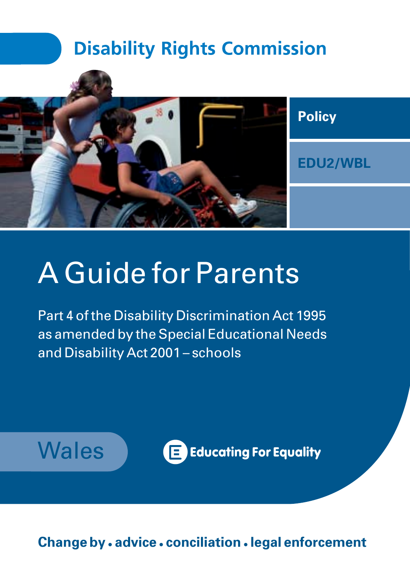# **Disability Rights Commission**



# A Guide for Parents

Part 4 of the Disability Discrimination Act 1995 as amended by the Special Educational Needs and Disability Act 2001 – schools



**Change by • advice • conciliation •legal enforcement**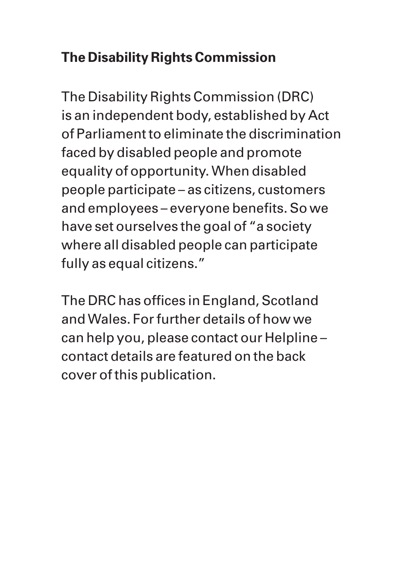#### **The Disability Rights Commission**

The Disability Rights Commission (DRC) is an independent body, established by Act of Parliament to eliminate the discrimination faced by disabled people and promote equality of opportunity. When disabled people participate – as citizens, customers and employees – everyone benefits. So we have set ourselves the goal of "a society where all disabled people can participate fully as equal citizens."

The DRC has offices in England, Scotland and Wales. For further details of how we can help you, please contact our Helpline – contact details are featured on the back cover of this publication.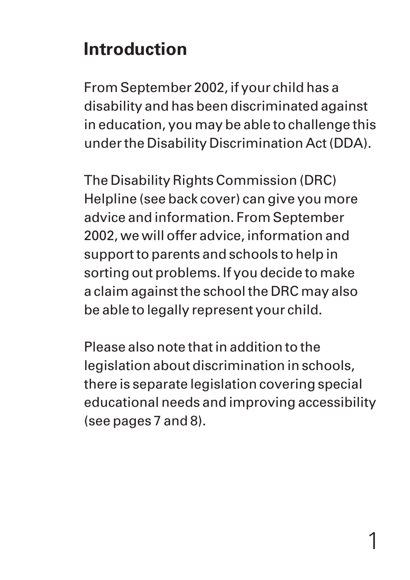# **Introduction**

From September 2002, if your child has a disability and has been discriminated against in education, you may be able to challenge this under the Disability Discrimination Act (DDA).

The Disability Rights Commission (DRC) Helpline (see back cover) can give you more advice and information. From September 2002, we will offer advice, information and support to parents and schools to help in sorting out problems. If you decide to make a claim against the school the DRC may also be able to legally represent your child.

Please also note that in addition to the legislation about discrimination in schools, there is separate legislation covering special educational needs and improving accessibility (see pages 7 and 8).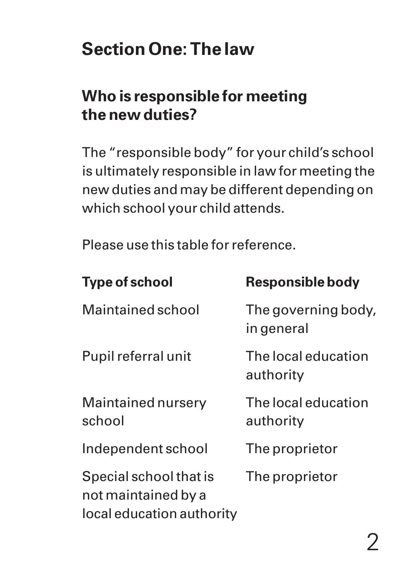# **Section One: The law**

#### **Who is responsible for meeting the new duties?**

The "responsible body" for your child's school is ultimately responsible in law for meeting the new duties and may be different depending on which school your child attends.

Please use this table for reference.

| <b>Type of school</b>                                                      | Responsible body                  |
|----------------------------------------------------------------------------|-----------------------------------|
| Maintained school                                                          | The governing body,<br>in general |
| Pupil referral unit                                                        | The local education<br>authority  |
| Maintained nursery<br>school                                               | The local education<br>authority  |
| Independent school                                                         | The proprietor                    |
| Special school that is<br>not maintained by a<br>local education authority | The proprietor                    |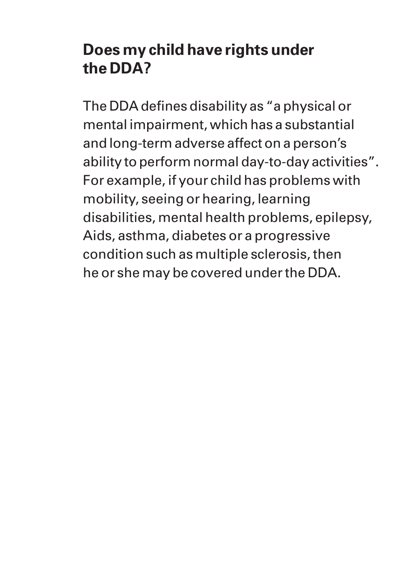#### **Does my child have rights under the DDA?**

The DDA defines disability as "a physical or mental impairment, which has a substantial and long-term adverse affect on a person's ability to perform normal day-to-day activities". For example, if your child has problems with mobility, seeing or hearing, learning disabilities, mental health problems, epilepsy, Aids, asthma, diabetes or a progressive condition such as multiple sclerosis, then he or she may be covered under the DDA.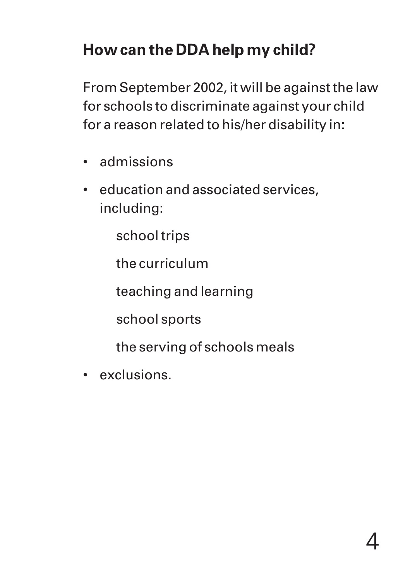## **How can the DDA help my child?**

From September 2002, it will be against the law for schools to discriminate against your child for a reason related to his/her disability in:

- admissions
- education and associated services, including:

school trips

the curriculum

teaching and learning

school sports

the serving of schools meals

• exclusions.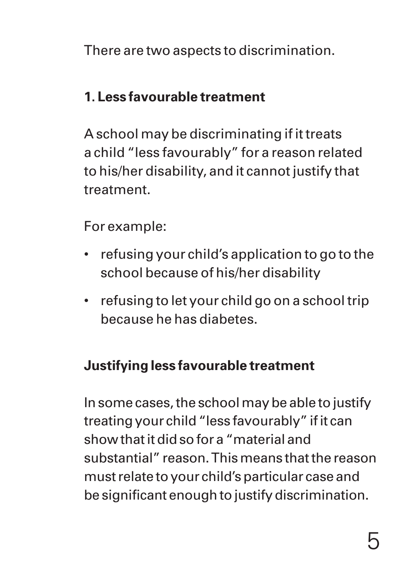There are two aspects to discrimination.

#### **1. Less favourable treatment**

A school may be discriminating if it treats a child "less favourably" for a reason related to his/her disability, and it cannot justify that treatment.

For example:

- refusing your child's application to go to the school because of his/her disability
- refusing to let your child go on a school trip because he has diabetes.

#### **Justifying less favourable treatment**

In some cases, the school may be able to justify treating your child "less favourably" if it can show that it did so for a "material and substantial" reason. This means that the reason must relate to your child's particular case and be significant enough to justify discrimination.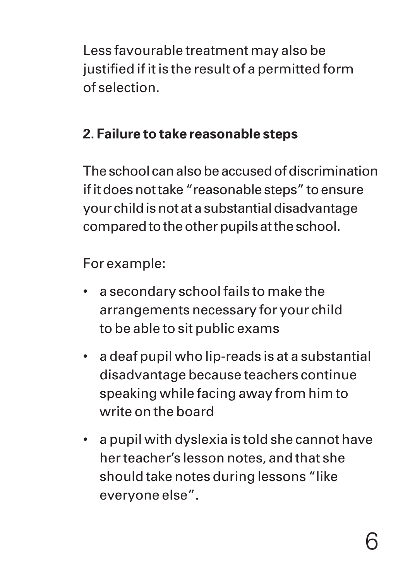Less favourable treatment may also be justified if it is the result of a permitted form of selection.

#### **2. Failure to take reasonable steps**

The school can also be accused of discrimination if it does not take "reasonable steps" to ensure your child is not at a substantial disadvantage compared to the other pupils at the school.

For example:

- a secondary school fails to make the arrangements necessary for your child to be able to sit public exams
- a deaf pupil who lip-reads is at a substantial disadvantage because teachers continue speaking while facing away from him to write on the board
- a pupil with dyslexia is told she cannot have her teacher's lesson notes, and that she should take notes during lessons "like everyone else".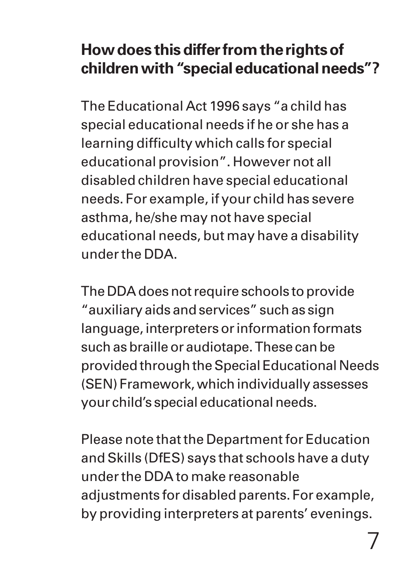#### **How does this differ from the rights of children with "special educational needs"?**

The Educational Act 1996 says "a child has special educational needs if he or she has a learning difficulty which calls for special educational provision". However not all disabled children have special educational needs. For example, if your child has severe asthma, he/she may not have special educational needs, but may have a disability under the DDA.

The DDA does not require schools to provide "auxiliary aids and services" such as sign language, interpreters or information formats such as braille or audiotape. These can be provided through the Special Educational Needs (SEN) Framework, which individually assesses your child's special educational needs.

Please note that the Department for Education and Skills (DfES) says that schools have a duty under the DDA to make reasonable adjustments for disabled parents. For example, by providing interpreters at parents' evenings.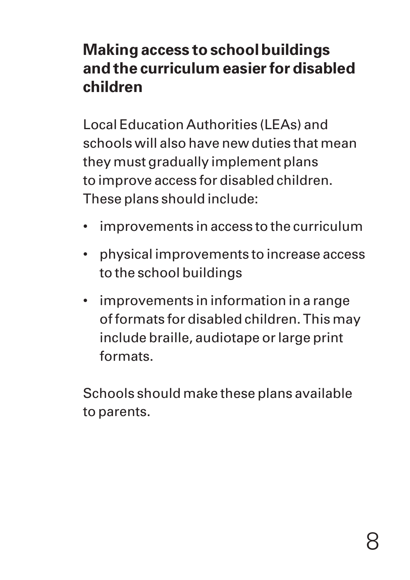#### **Making access to school buildings and the curriculum easier for disabled children**

Local Education Authorities (LEAs) and schools will also have new duties that mean they must gradually implement plans to improve access for disabled children. These plans should include:

- improvements in access to the curriculum
- physical improvements to increase access to the school buildings
- improvements in information in a range of formats for disabled children. This may include braille, audiotape or large print formats.

Schools should make these plans available to parents.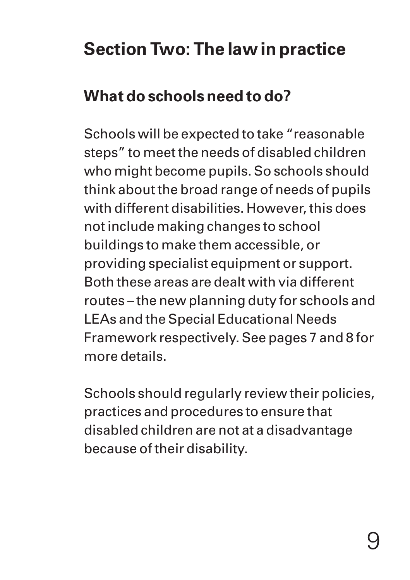# **Section Two: The law in practice**

## **What do schools need to do?**

Schools will be expected to take "reasonable steps" to meet the needs of disabled children who might become pupils. So schools should think about the broad range of needs of pupils with different disabilities. However, this does not include making changes to school buildings to make them accessible, or providing specialist equipment or support. Both these areas are dealt with via different routes – the new planning duty for schools and LEAs and the Special Educational Needs Framework respectively. See pages 7 and 8 for more details.

Schools should regularly review their policies, practices and procedures to ensure that disabled children are not at a disadvantage because of their disability.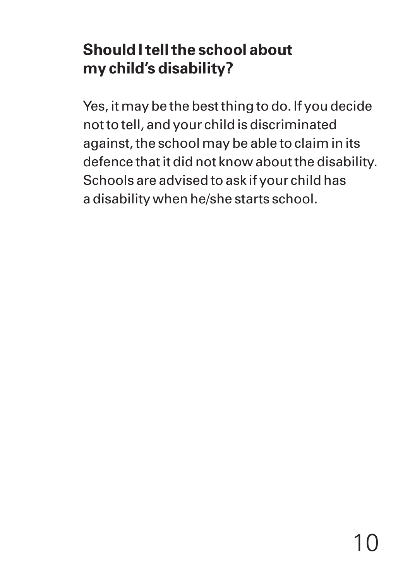#### **Should I tell the school about my child's disability?**

Yes, it may be the best thing to do. If you decide not to tell, and your child is discriminated against, the school may be able to claim in its defence that it did not know about the disability. Schools are advised to ask if your child has a disability when he/she starts school.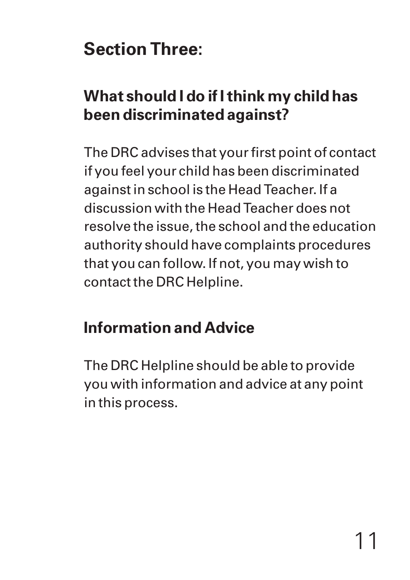# **Section Three:**

## **What should I do if I think my child has been discriminated against?**

The DRC advises that your first point of contact if you feel your child has been discriminated against in school is the Head Teacher. If a discussion with the Head Teacher does not resolve the issue, the school and the education authority should have complaints procedures that you can follow. If not, you may wish to contact the DRC Helpline.

## **Information and Advice**

The DRC Helpline should be able to provide you with information and advice at any point in this process.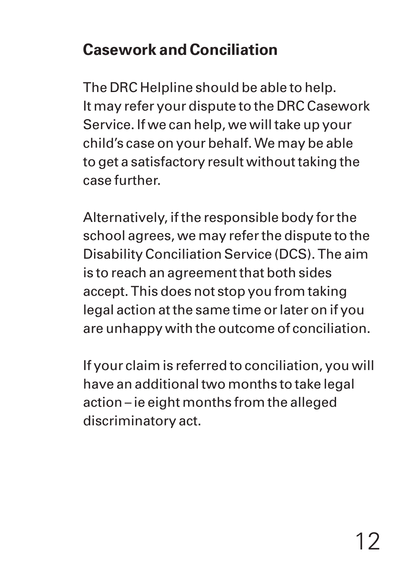## **Casework and Conciliation**

The DRC Helpline should be able to help. It may refer your dispute to the DRC Casework Service. If we can help, we will take up your child's case on your behalf. We may be able to get a satisfactory result without taking the case further.

Alternatively, if the responsible body for the school agrees, we may refer the dispute to the Disability Conciliation Service (DCS). The aim is to reach an agreement that both sides accept. This does not stop you from taking legal action at the same time or later on if you are unhappy with the outcome of conciliation.

If your claim is referred to conciliation, you will have an additional two months to take legal action – ie eight months from the alleged discriminatory act.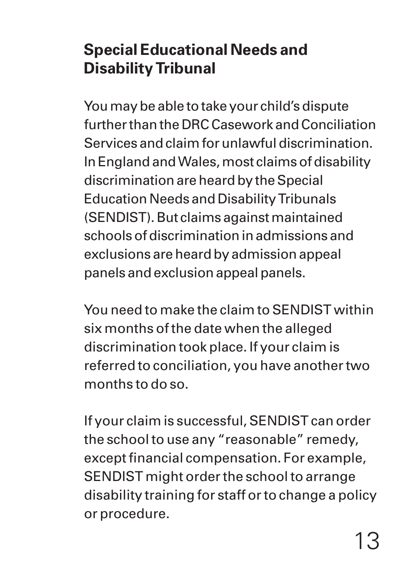## **Special Educational Needs and Disability Tribunal**

You may be able to take your child's dispute further than the DRC Casework and Conciliation Services and claim for unlawful discrimination. In England and Wales, most claims of disability discrimination are heard by the Special Education Needs and Disability Tribunals (SENDIST). But claims against maintained schools of discrimination in admissions and exclusions are heard by admission appeal panels and exclusion appeal panels.

You need to make the claim to SENDIST within six months of the date when the alleged discrimination took place. If your claim is referred to conciliation, you have another two months to do so.

If your claim is successful, SENDIST can order the school to use any "reasonable" remedy, except financial compensation. For example, SENDIST might order the school to arrange disability training for staff or to change a policy or procedure.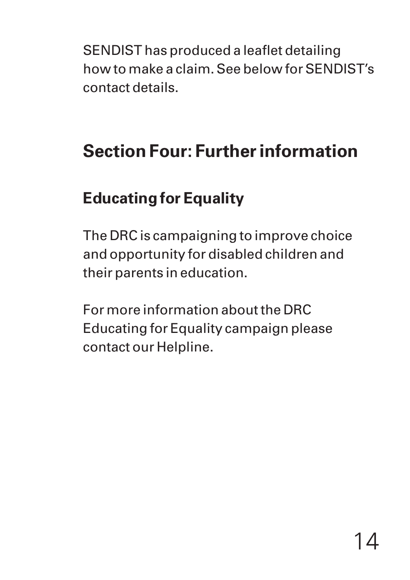SENDIST has produced a leaflet detailing how to make a claim. See below for SENDIST's contact details.

# **Section Four: Further information**

## **Educating for Equality**

The DRC is campaigning to improve choice and opportunity for disabled children and their parents in education.

For more information about the DRC Educating for Equality campaign please contact our Helpline.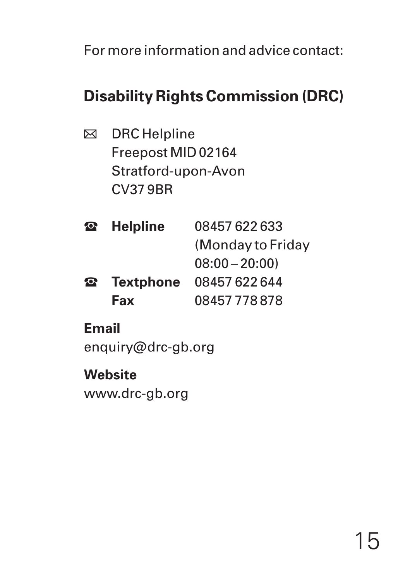For more information and advice contact:

## **Disability Rights Commission (DRC)**

**⊠** DRC Helpline Freepost MID 02164 Stratford-upon-Avon CV37 9BR

| $\bullet$ | <b>Helpline</b>  | 08457 622 633     |
|-----------|------------------|-------------------|
|           |                  | (Monday to Friday |
|           |                  | $08:00 - 20:00$   |
| $\bullet$ | <b>Textphone</b> | 08457 622 644     |
|           | Fax              | 08457778878       |

#### **Email**

enquiry@drc-gb.org

**Website** www.drc-gb.org